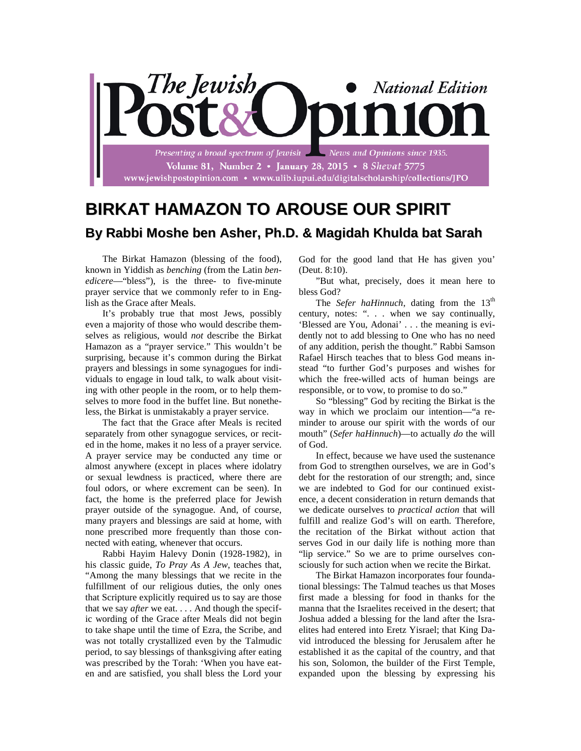

## **BIRKAT HAMAZON TO AROUSE OUR SPIRIT By Rabbi Moshe ben Asher, Ph.D. & Magidah Khulda bat Sarah**

The Birkat Hamazon (blessing of the food), known in Yiddish as *benching* (from the Latin *benedicere*—"bless"), is the three- to five-minute prayer service that we commonly refer to in English as the Grace after Meals.

It's probably true that most Jews, possibly even a majority of those who would describe themselves as religious, would *not* describe the Birkat Hamazon as a "prayer service." This wouldn't be surprising, because it's common during the Birkat prayers and blessings in some synagogues for individuals to engage in loud talk, to walk about visiting with other people in the room, or to help themselves to more food in the buffet line. But nonetheless, the Birkat is unmistakably a prayer service.

The fact that the Grace after Meals is recited separately from other synagogue services, or recited in the home, makes it no less of a prayer service. A prayer service may be conducted any time or almost anywhere (except in places where idolatry or sexual lewdness is practiced, where there are foul odors, or where excrement can be seen). In fact, the home is the preferred place for Jewish prayer outside of the synagogue. And, of course, many prayers and blessings are said at home, with none prescribed more frequently than those connected with eating, whenever that occurs.

Rabbi Hayim Halevy Donin (1928-1982), in his classic guide, *To Pray As A Jew*, teaches that, "Among the many blessings that we recite in the fulfillment of our religious duties, the only ones that Scripture explicitly required us to say are those that we say *after* we eat. . . . And though the specific wording of the Grace after Meals did not begin to take shape until the time of Ezra, the Scribe, and was not totally crystallized even by the Talmudic period, to say blessings of thanksgiving after eating was prescribed by the Torah: 'When you have eaten and are satisfied, you shall bless the Lord your

God for the good land that He has given you' (Deut. 8:10).

"But what, precisely, does it mean here to bless God?

The *Sefer haHinnuch*, dating from the 13<sup>th</sup> century, notes: ". . . when we say continually, 'Blessed are You, Adonai' . . . the meaning is evidently not to add blessing to One who has no need of any addition, perish the thought." Rabbi Samson Rafael Hirsch teaches that to bless God means instead "to further God's purposes and wishes for which the free-willed acts of human beings are responsible, or to vow, to promise to do so."

So "blessing" God by reciting the Birkat is the way in which we proclaim our intention—"a reminder to arouse our spirit with the words of our mouth" (*Sefer haHinnuch*)—to actually *do* the will of God.

In effect, because we have used the sustenance from God to strengthen ourselves, we are in God's debt for the restoration of our strength; and, since we are indebted to God for our continued existence, a decent consideration in return demands that we dedicate ourselves to *practical action* that will fulfill and realize God's will on earth. Therefore, the recitation of the Birkat without action that serves God in our daily life is nothing more than "lip service." So we are to prime ourselves consciously for such action when we recite the Birkat.

The Birkat Hamazon incorporates four foundational blessings: The Talmud teaches us that Moses first made a blessing for food in thanks for the manna that the Israelites received in the desert; that Joshua added a blessing for the land after the Israelites had entered into Eretz Yisrael; that King David introduced the blessing for Jerusalem after he established it as the capital of the country, and that his son, Solomon, the builder of the First Temple, expanded upon the blessing by expressing his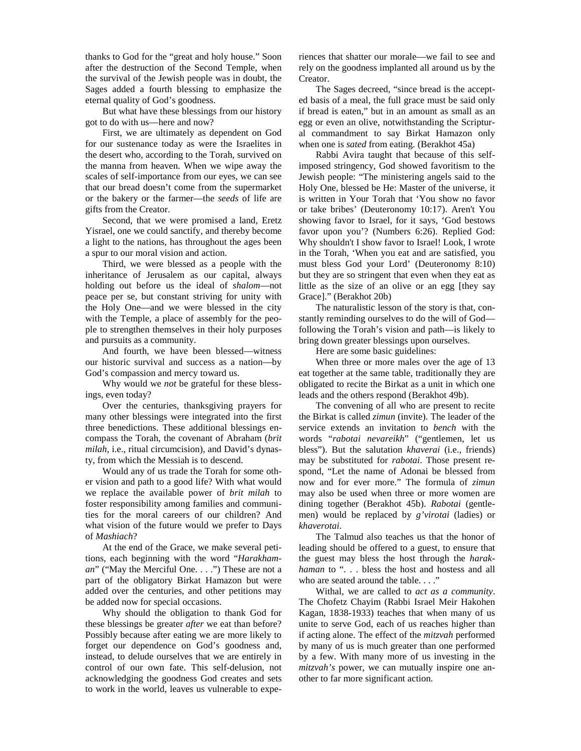thanks to God for the "great and holy house." Soon after the destruction of the Second Temple, when the survival of the Jewish people was in doubt, the Sages added a fourth blessing to emphasize the eternal quality of God's goodness.

But what have these blessings from our history got to do with us—here and now?

First, we are ultimately as dependent on God for our sustenance today as were the Israelites in the desert who, according to the Torah, survived on the manna from heaven. When we wipe away the scales of self-importance from our eyes, we can see that our bread doesn't come from the supermarket or the bakery or the farmer—the *seeds* of life are gifts from the Creator.

Second, that we were promised a land, Eretz Yisrael, one we could sanctify, and thereby become a light to the nations, has throughout the ages been a spur to our moral vision and action.

Third, we were blessed as a people with the inheritance of Jerusalem as our capital, always holding out before us the ideal of *shalom*—not peace per se, but constant striving for unity with the Holy One—and we were blessed in the city with the Temple, a place of assembly for the people to strengthen themselves in their holy purposes and pursuits as a community.

And fourth, we have been blessed—witness our historic survival and success as a nation—by God's compassion and mercy toward us.

Why would we *not* be grateful for these blessings, even today?

Over the centuries, thanksgiving prayers for many other blessings were integrated into the first three benedictions. These additional blessings encompass the Torah, the covenant of Abraham (*brit milah*, i.e., ritual circumcision), and David's dynasty, from which the Messiah is to descend.

Would any of us trade the Torah for some other vision and path to a good life? With what would we replace the available power of *brit milah* to foster responsibility among families and communities for the moral careers of our children? And what vision of the future would we prefer to Days of *Mashiach*?

At the end of the Grace, we make several petitions, each beginning with the word "*Harakhaman*" ("May the Merciful One. . . .") These are not a part of the obligatory Birkat Hamazon but were added over the centuries, and other petitions may be added now for special occasions.

Why should the obligation to thank God for these blessings be greater *after* we eat than before? Possibly because after eating we are more likely to forget our dependence on God's goodness and, instead, to delude ourselves that we are entirely in control of our own fate. This self-delusion, not acknowledging the goodness God creates and sets to work in the world, leaves us vulnerable to experiences that shatter our morale—we fail to see and rely on the goodness implanted all around us by the Creator.

The Sages decreed, "since bread is the accepted basis of a meal, the full grace must be said only if bread is eaten," but in an amount as small as an egg or even an olive, notwithstanding the Scriptural commandment to say Birkat Hamazon only when one is *sated* from eating. (Berakhot 45a)

Rabbi Avira taught that because of this selfimposed stringency, God showed favoritism to the Jewish people: "The ministering angels said to the Holy One, blessed be He: Master of the universe, it is written in Your Torah that 'You show no favor or take bribes' (Deuteronomy 10:17). Aren't You showing favor to Israel, for it says, 'God bestows favor upon you'? (Numbers 6:26). Replied God: Why shouldn't I show favor to Israel! Look, I wrote in the Torah, 'When you eat and are satisfied, you must bless God your Lord' (Deuteronomy 8:10) but they are so stringent that even when they eat as little as the size of an olive or an egg [they say Grace]." (Berakhot 20b)

The naturalistic lesson of the story is that, constantly reminding ourselves to do the will of God following the Torah's vision and path—is likely to bring down greater blessings upon ourselves.

Here are some basic guidelines:

When three or more males over the age of 13 eat together at the same table, traditionally they are obligated to recite the Birkat as a unit in which one leads and the others respond (Berakhot 49b).

The convening of all who are present to recite the Birkat is called *zimun* (invite). The leader of the service extends an invitation to *bench* with the words "*rabotai nevareikh*" ("gentlemen, let us bless"). But the salutation *khaverai* (i.e., friends) may be substituted for *rabotai*. Those present respond, "Let the name of Adonai be blessed from now and for ever more." The formula of *zimun* may also be used when three or more women are dining together (Berakhot 45b). *Rabotai* (gentlemen) would be replaced by *g'virotai* (ladies) or *khaverotai*.

The Talmud also teaches us that the honor of leading should be offered to a guest, to ensure that the guest may bless the host through the *harakhaman* to ". . . bless the host and hostess and all who are seated around the table. . . ."

Withal, we are called to *act as a community*. The Chofetz Chayim (Rabbi Israel Meir Hakohen Kagan, 1838-1933) teaches that when many of us unite to serve God, each of us reaches higher than if acting alone. The effect of the *mitzvah* performed by many of us is much greater than one performed by a few. With many more of us investing in the *mitzvah's* power, we can mutually inspire one another to far more significant action.